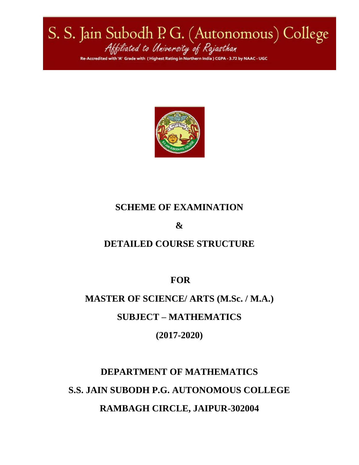# S. S. Jain Subodh P. G. (Autonomous) College<br>Attiliated to University of Rajasthan Re-Accredited with 'A' Grade with (Highest Rating in Northern India) CGPA - 3.72 by NAAC - UGC



## **SCHEME OF EXAMINATION**

## **&**

## **DETAILED COURSE STRUCTURE**

**FOR**

## **MASTER OF SCIENCE/ ARTS (M.Sc. / M.A.)**

## **SUBJECT – MATHEMATICS**

**(2017-2020)**

## **DEPARTMENT OF MATHEMATICS S.S. JAIN SUBODH P.G. AUTONOMOUS COLLEGE RAMBAGH CIRCLE, JAIPUR-302004**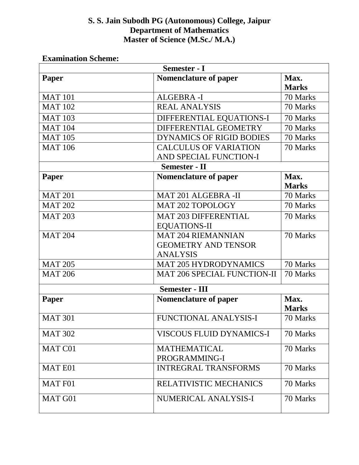#### **S. S. Jain Subodh PG (Autonomous) College, Jaipur Department of Mathematics Master of Science (M.Sc./ M.A.)**

| Semester - I          |                                                                            |                      |  |  |
|-----------------------|----------------------------------------------------------------------------|----------------------|--|--|
| Paper                 | <b>Nomenclature of paper</b>                                               | Max.<br><b>Marks</b> |  |  |
| <b>MAT 101</b>        | ALGEBRA-I                                                                  | 70 Marks             |  |  |
| <b>MAT 102</b>        | <b>REAL ANALYSIS</b>                                                       | 70 Marks             |  |  |
| <b>MAT 103</b>        | DIFFERENTIAL EQUATIONS-I                                                   | 70 Marks             |  |  |
| <b>MAT 104</b>        | DIFFERENTIAL GEOMETRY                                                      | 70 Marks             |  |  |
| <b>MAT 105</b>        | <b>DYNAMICS OF RIGID BODIES</b>                                            | 70 Marks             |  |  |
| <b>MAT 106</b>        | <b>CALCULUS OF VARIATION</b><br>AND SPECIAL FUNCTION-I                     | 70 Marks             |  |  |
| <b>Semester - II</b>  |                                                                            |                      |  |  |
| Paper                 | <b>Nomenclature of paper</b>                                               | Max.<br><b>Marks</b> |  |  |
| <b>MAT 201</b>        | <b>MAT 201 ALGEBRA -II</b>                                                 | 70 Marks             |  |  |
| <b>MAT 202</b>        | <b>MAT 202 TOPOLOGY</b>                                                    | 70 Marks             |  |  |
| <b>MAT 203</b>        | <b>MAT 203 DIFFERENTIAL</b><br><b>EQUATIONS-II</b>                         | 70 Marks             |  |  |
| <b>MAT 204</b>        | <b>MAT 204 RIEMANNIAN</b><br><b>GEOMETRY AND TENSOR</b><br><b>ANALYSIS</b> | 70 Marks             |  |  |
| <b>MAT 205</b>        | <b>MAT 205 HYDRODYNAMICS</b>                                               | 70 Marks             |  |  |
| <b>MAT 206</b>        | <b>MAT 206 SPECIAL FUNCTION-II</b>                                         | 70 Marks             |  |  |
| <b>Semester - III</b> |                                                                            |                      |  |  |
| Paper                 | <b>Nomenclature of paper</b>                                               | Max.<br><b>Marks</b> |  |  |
| <b>MAT 301</b>        | <b>FUNCTIONAL ANALYSIS-I</b>                                               | 70 Marks             |  |  |
| <b>MAT 302</b>        | <b>VISCOUS FLUID DYNAMICS-I</b>                                            | 70 Marks             |  |  |
| MAT C01               | <b>MATHEMATICAL</b><br>PROGRAMMING-I                                       | 70 Marks             |  |  |
| <b>MATE01</b>         | <b>INTREGRAL TRANSFORMS</b>                                                | 70 Marks             |  |  |
| <b>MAT F01</b>        | RELATIVISTIC MECHANICS                                                     | 70 Marks             |  |  |
| MAT G01               | NUMERICAL ANALYSIS-I                                                       | 70 Marks             |  |  |

#### **Examination Scheme:**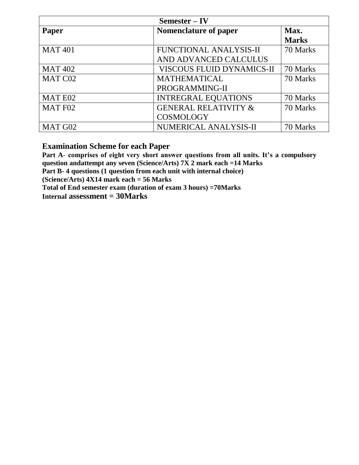| Semester – IV  |                                  |              |  |
|----------------|----------------------------------|--------------|--|
| Paper          | <b>Nomenclature of paper</b>     | Max.         |  |
|                |                                  | <b>Marks</b> |  |
| <b>MAT 401</b> | <b>FUNCTIONAL ANALYSIS-II</b>    | 70 Marks     |  |
|                | AND ADVANCED CALCULUS            |              |  |
| <b>MAT 402</b> | <b>VISCOUS FLUID DYNAMICS-II</b> | 70 Marks     |  |
| MAT C02        | <b>MATHEMATICAL</b>              | 70 Marks     |  |
|                | PROGRAMMING-II                   |              |  |
| MAT E02        | <b>INTREGRAL EQUATIONS</b>       | 70 Marks     |  |
| MAT F02        | <b>GENERAL RELATIVITY &amp;</b>  | 70 Marks     |  |
|                | <b>COSMOLOGY</b>                 |              |  |
| MAT G02        | NUMERICAL ANALYSIS-II            | 70 Marks     |  |

#### **Examination Scheme for each Paper**

**Part A**- **comprises of eight very short answer questions from all units. It's a compulsory question andattempt any seven (Science/Arts) 7X 2 mark each =14 Marks Part B- 4 questions (1 question from each unit with internal choice) (Science/Arts) 4X14 mark each = 56 Marks**

**Total of End semester exam (duration of exam 3 hours) =70Marks**

**Internal assessment = 30Marks**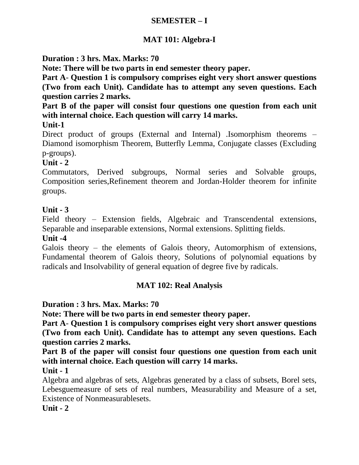#### **SEMESTER – I**

## **MAT 101: Algebra-I**

**Duration : 3 hrs. Max. Marks: 70**

**Note: There will be two parts in end semester theory paper.**

**Part A**- **Question 1 is compulsory comprises eight very short answer questions (Two from each Unit). Candidate has to attempt any seven questions. Each question carries 2 marks.**

**Part B of the paper will consist four questions one question from each unit with internal choice. Each question will carry 14 marks.**

**Unit-1**

Direct product of groups (External and Internal) .Isomorphism theorems – Diamond isomorphism Theorem, Butterfly Lemma, Conjugate classes (Excluding p-groups).

## **Unit - 2**

Commutators, Derived subgroups, Normal series and Solvable groups, Composition series,Refinement theorem and Jordan-Holder theorem for infinite groups.

## **Unit - 3**

Field theory – Extension fields, Algebraic and Transcendental extensions, Separable and inseparable extensions, Normal extensions. Splitting fields.

#### **Unit -4**

Galois theory – the elements of Galois theory, Automorphism of extensions, Fundamental theorem of Galois theory, Solutions of polynomial equations by radicals and Insolvability of general equation of degree five by radicals.

#### **MAT 102: Real Analysis**

**Duration : 3 hrs. Max. Marks: 70**

**Note: There will be two parts in end semester theory paper.**

**Part A**- **Question 1 is compulsory comprises eight very short answer questions (Two from each Unit). Candidate has to attempt any seven questions. Each question carries 2 marks.**

**Part B of the paper will consist four questions one question from each unit with internal choice. Each question will carry 14 marks.**

#### **Unit - 1**

Algebra and algebras of sets, Algebras generated by a class of subsets, Borel sets, Lebesguemeasure of sets of real numbers, Measurability and Measure of a set, Existence of Nonmeasurablesets.

**Unit - 2**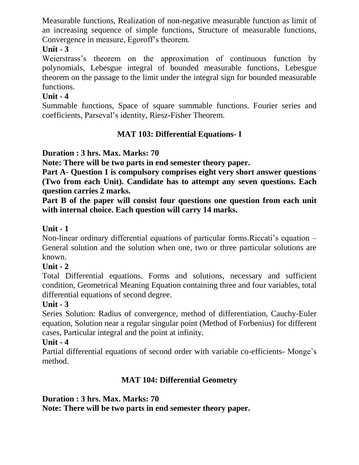Measurable functions, Realization of non-negative measurable function as limit of an increasing sequence of simple functions, Structure of measurable functions, Convergence in measure, Egoroff's theorem.

## **Unit - 3**

Weierstrass's theorem on the approximation of continuous function by polynomials, Lebesgue integral of bounded measurable functions, Lebesgue theorem on the passage to the limit under the integral sign for bounded measurable functions.

## **Unit - 4**

Summable functions, Space of square summable functions. Fourier series and coefficients, Parseval's identity, Riesz-Fisher Theorem.

## **MAT 103: Differential Equations- I**

## **Duration : 3 hrs. Max. Marks: 70**

**Note: There will be two parts in end semester theory paper.**

**Part A**- **Question 1 is compulsory comprises eight very short answer questions (Two from each Unit). Candidate has to attempt any seven questions. Each question carries 2 marks.**

**Part B of the paper will consist four questions one question from each unit with internal choice. Each question will carry 14 marks.**

## **Unit - 1**

Non-linear ordinary differential equations of particular forms.Riccati's equation – General solution and the solution when one, two or three particular solutions are known.

#### **Unit - 2**

Total Differential equations. Forms and solutions, necessary and sufficient condition, Geometrical Meaning Equation containing three and four variables, total differential equations of second degree.

#### **Unit - 3**

Series Solution: Radius of convergence, method of differentiation, Cauchy-Euler equation, Solution near a regular singular point (Method of Forbenius) for different cases, Particular integral and the point at infinity.

#### **Unit - 4**

Partial differential equations of second order with variable co-efficients- Monge's method.

## **MAT 104: Differential Geometry**

## **Duration : 3 hrs. Max. Marks: 70**

**Note: There will be two parts in end semester theory paper.**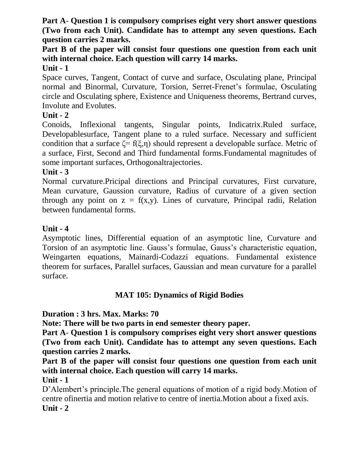**Part A**- **Question 1 is compulsory comprises eight very short answer questions (Two from each Unit). Candidate has to attempt any seven questions. Each question carries 2 marks.**

**Part B of the paper will consist four questions one question from each unit with internal choice. Each question will carry 14 marks. Unit - 1**

Space curves, Tangent, Contact of curve and surface, Osculating plane, Principal normal and Binormal, Curvature, Torsion, Serret-Frenet's formulae, Osculating circle and Osculating sphere, Existence and Uniqueness theorems, Bertrand curves, Involute and Evolutes.

## **Unit - 2**

Conoids, Inflexional tangents, Singular points, Indicatrix.Ruled surface, Developablesurface, Tangent plane to a ruled surface. Necessary and sufficient condition that a surface  $\zeta = f(\xi, \eta)$  should represent a developable surface. Metric of a surface, First, Second and Third fundamental forms.Fundamental magnitudes of some important surfaces, Orthogonaltrajectories.

## **Unit - 3**

Normal curvature.Pricipal directions and Principal curvatures, First curvature, Mean curvature, Gaussion curvature, Radius of curvature of a given section through any point on  $z = f(x,y)$ . Lines of curvature, Principal radii, Relation between fundamental forms.

## **Unit - 4**

Asymptotic lines, Differential equation of an asymptotic line, Curvature and Torsion of an asymptotic line. Gauss's formulae, Gauss's characteristic equation, Weingarten equations, Mainardi-Codazzi equations. Fundamental existence theorem for surfaces, Parallel surfaces, Gaussian and mean curvature for a parallel surface.

## **MAT 105: Dynamics of Rigid Bodies**

#### **Duration : 3 hrs. Max. Marks: 70**

**Note: There will be two parts in end semester theory paper.**

**Part A**- **Question 1 is compulsory comprises eight very short answer questions (Two from each Unit). Candidate has to attempt any seven questions. Each question carries 2 marks.**

**Part B of the paper will consist four questions one question from each unit with internal choice. Each question will carry 14 marks.**

#### **Unit - 1**

D'Alembert's principle.The general equations of motion of a rigid body.Motion of centre ofinertia and motion relative to centre of inertia.Motion about a fixed axis. **Unit - 2**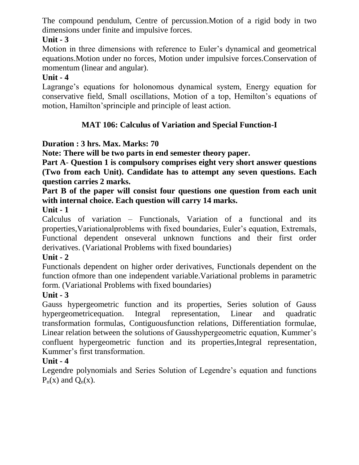The compound pendulum, Centre of percussion.Motion of a rigid body in two dimensions under finite and impulsive forces.

## **Unit - 3**

Motion in three dimensions with reference to Euler's dynamical and geometrical equations.Motion under no forces, Motion under impulsive forces.Conservation of momentum (linear and angular).

## **Unit - 4**

Lagrange's equations for holonomous dynamical system, Energy equation for conservative field, Small oscillations, Motion of a top, Hemilton's equations of motion, Hamilton'sprinciple and principle of least action.

## **MAT 106: Calculus of Variation and Special Function-I**

## **Duration : 3 hrs. Max. Marks: 70**

**Note: There will be two parts in end semester theory paper.**

**Part A**- **Question 1 is compulsory comprises eight very short answer questions (Two from each Unit). Candidate has to attempt any seven questions. Each question carries 2 marks.**

## **Part B of the paper will consist four questions one question from each unit with internal choice. Each question will carry 14 marks.**

**Unit - 1**

Calculus of variation – Functionals, Variation of a functional and its properties,Variationalproblems with fixed boundaries, Euler's equation, Extremals, Functional dependent onseveral unknown functions and their first order derivatives. (Variational Problems with fixed boundaries)

#### **Unit - 2**

Functionals dependent on higher order derivatives, Functionals dependent on the function ofmore than one independent variable.Variational problems in parametric form. (Variational Problems with fixed boundaries)

## **Unit - 3**

Gauss hypergeometric function and its properties, Series solution of Gauss hypergeometricequation. Integral representation, Linear and quadratic transformation formulas, Contiguousfunction relations, Differentiation formulae, Linear relation between the solutions of Gausshypergeometric equation, Kummer's confluent hypergeometric function and its properties,Integral representation, Kummer's first transformation.

## **Unit - 4**

Legendre polynomials and Series Solution of Legendre's equation and functions  $P_n(x)$  and  $Q_n(x)$ .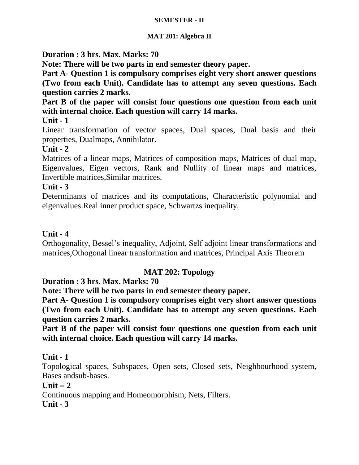#### **SEMESTER - II**

#### **MAT 201: Algebra II**

**Duration : 3 hrs. Max. Marks: 70**

**Note: There will be two parts in end semester theory paper.**

**Part A**- **Question 1 is compulsory comprises eight very short answer questions (Two from each Unit). Candidate has to attempt any seven questions. Each question carries 2 marks.**

**Part B of the paper will consist four questions one question from each unit with internal choice. Each question will carry 14 marks.**

**Unit - 1**

Linear transformation of vector spaces, Dual spaces, Dual basis and their properties, Dualmaps, Annihilator.

**Unit - 2**

Matrices of a linear maps, Matrices of composition maps, Matrices of dual map, Eigenvalues, Eigen vectors, Rank and Nullity of linear maps and matrices, Invertible matrices,Similar matrices.

**Unit - 3**

Determinants of matrices and its computations, Characteristic polynomial and eigenvalues.Real inner product space, Schwartzs inequality.

#### **Unit - 4**

Orthogonality, Bessel's inequality, Adjoint, Self adjoint linear transformations and matrices,Othogonal linear transformation and matrices, Principal Axis Theorem

## **MAT 202: Topology**

**Duration : 3 hrs. Max. Marks: 70**

**Note: There will be two parts in end semester theory paper.**

**Part A**- **Question 1 is compulsory comprises eight very short answer questions (Two from each Unit). Candidate has to attempt any seven questions. Each question carries 2 marks.**

**Part B of the paper will consist four questions one question from each unit with internal choice. Each question will carry 14 marks.**

#### **Unit - 1**

Topological spaces, Subspaces, Open sets, Closed sets, Neighbourhood system, Bases andsub-bases.

#### $Unit - 2$

Continuous mapping and Homeomorphism, Nets, Filters. **Unit - 3**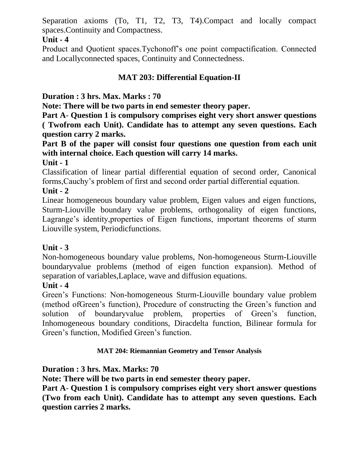Separation axioms (To, T1, T2, T3, T4).Compact and locally compact spaces.Continuity and Compactness.

## **Unit - 4**

Product and Quotient spaces.Tychonoff's one point compactification. Connected and Locallyconnected spaces, Continuity and Connectedness.

## **MAT 203: Differential Equation-II**

**Duration : 3 hrs. Max. Marks : 70**

**Note: There will be two parts in end semester theory paper.**

**Part A**- **Question 1 is compulsory comprises eight very short answer questions ( Twofrom each Unit). Candidate has to attempt any seven questions. Each question carry 2 marks.**

**Part B of the paper will consist four questions one question from each unit with internal choice. Each question will carry 14 marks.**

## **Unit - 1**

Classification of linear partial differential equation of second order, Canonical forms,Cauchy's problem of first and second order partial differential equation.

## **Unit - 2**

Linear homogeneous boundary value problem, Eigen values and eigen functions, Sturm-Liouville boundary value problems, orthogonality of eigen functions, Lagrange's identity,properties of Eigen functions, important theorems of sturm Liouville system, Periodicfunctions.

## **Unit - 3**

Non-homogeneous boundary value problems, Non-homogeneous Sturm-Liouville boundaryvalue problems (method of eigen function expansion). Method of separation of variables,Laplace, wave and diffusion equations.

## **Unit - 4**

Green's Functions: Non-homogeneous Sturm-Liouville boundary value problem (method ofGreen's function), Procedure of constructing the Green's function and solution of boundaryvalue problem, properties of Green's function, Inhomogeneous boundary conditions, Diracdelta function, Bilinear formula for Green's function, Modified Green's function.

#### **MAT 204: Riemannian Geometry and Tensor Analysis**

## **Duration : 3 hrs. Max. Marks: 70**

**Note: There will be two parts in end semester theory paper.**

**Part A**- **Question 1 is compulsory comprises eight very short answer questions (Two from each Unit). Candidate has to attempt any seven questions. Each question carries 2 marks.**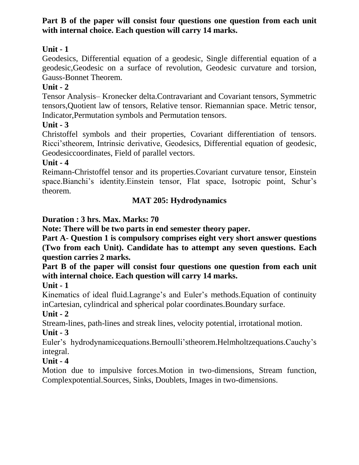## **Part B of the paper will consist four questions one question from each unit with internal choice. Each question will carry 14 marks.**

## **Unit - 1**

Geodesics, Differential equation of a geodesic, Single differential equation of a geodesic,Geodesic on a surface of revolution, Geodesic curvature and torsion, Gauss-Bonnet Theorem.

## **Unit - 2**

Tensor Analysis– Kronecker delta.Contravariant and Covariant tensors, Symmetric tensors,Quotient law of tensors, Relative tensor. Riemannian space. Metric tensor, Indicator,Permutation symbols and Permutation tensors.

#### **Unit - 3**

Christoffel symbols and their properties, Covariant differentiation of tensors. Ricci'stheorem, Intrinsic derivative, Geodesics, Differential equation of geodesic, Geodesiccoordinates, Field of parallel vectors.

## **Unit - 4**

Reimann-Christoffel tensor and its properties.Covariant curvature tensor, Einstein space.Bianchi's identity.Einstein tensor, Flat space, Isotropic point, Schur's theorem.

## **MAT 205: Hydrodynamics**

## **Duration : 3 hrs. Max. Marks: 70**

**Note: There will be two parts in end semester theory paper.**

**Part A**- **Question 1 is compulsory comprises eight very short answer questions (Two from each Unit). Candidate has to attempt any seven questions. Each question carries 2 marks.**

**Part B of the paper will consist four questions one question from each unit with internal choice. Each question will carry 14 marks.**

#### **Unit - 1**

Kinematics of ideal fluid.Lagrange's and Euler's methods.Equation of continuity inCartesian, cylindrical and spherical polar coordinates.Boundary surface.

## **Unit - 2**

Stream-lines, path-lines and streak lines, velocity potential, irrotational motion.

## **Unit - 3**

Euler's hydrodynamicequations.Bernoulli'stheorem.Helmholtzequations.Cauchy's integral.

## **Unit - 4**

Motion due to impulsive forces.Motion in two-dimensions, Stream function, Complexpotential.Sources, Sinks, Doublets, Images in two-dimensions.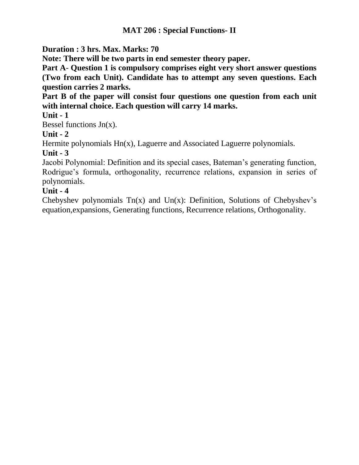#### **MAT 206 : Special Functions- II**

**Duration : 3 hrs. Max. Marks: 70**

**Note: There will be two parts in end semester theory paper.**

**Part A**- **Question 1 is compulsory comprises eight very short answer questions (Two from each Unit). Candidate has to attempt any seven questions. Each question carries 2 marks.**

**Part B of the paper will consist four questions one question from each unit with internal choice. Each question will carry 14 marks.**

#### **Unit - 1**

Bessel functions  $Jn(x)$ .

## **Unit - 2**

Hermite polynomials Hn(x), Laguerre and Associated Laguerre polynomials.

#### **Unit - 3**

Jacobi Polynomial: Definition and its special cases, Bateman's generating function, Rodrigue's formula, orthogonality, recurrence relations, expansion in series of polynomials.

## **Unit - 4**

Chebyshev polynomials  $Tn(x)$  and  $Un(x)$ : Definition, Solutions of Chebyshev's equation,expansions, Generating functions, Recurrence relations, Orthogonality.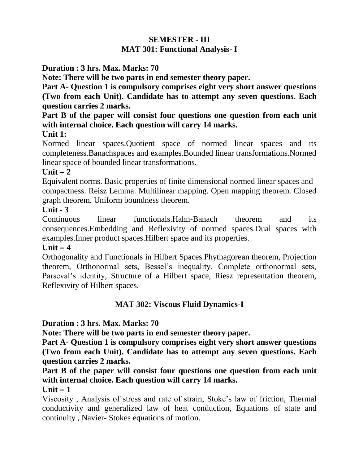## **SEMESTER - III MAT 301: Functional Analysis- I**

#### **Duration : 3 hrs. Max. Marks: 70**

**Note: There will be two parts in end semester theory paper.**

**Part A**- **Question 1 is compulsory comprises eight very short answer questions (Two from each Unit). Candidate has to attempt any seven questions. Each question carries 2 marks.**

## **Part B of the paper will consist four questions one question from each unit with internal choice. Each question will carry 14 marks.**

#### **Unit 1:**

Normed linear spaces.Quotient space of normed linear spaces and its completeness.Banachspaces and examples.Bounded linear transformations.Normed linear space of bounded linear transformations.

#### $Unit - 2$

Equivalent norms. Basic properties of finite dimensional normed linear spaces and compactness. Reisz Lemma. Multilinear mapping. Open mapping theorem. Closed graph theorem. Uniform boundness theorem.

#### **Unit - 3**

Continuous linear functionals.Hahn-Banach theorem and its consequences.Embedding and Reflexivity of normed spaces.Dual spaces with examples.Inner product spaces.Hilbert space and its properties.

#### $Unit - 4$

Orthogonality and Functionals in Hilbert Spaces.Phythagorean theorem, Projection theorem, Orthonormal sets, Bessel's inequality, Complete orthonormal sets, Parseval's identity, Structure of a Hilbert space, Riesz representation theorem, Reflexivity of Hilbert spaces.

## **MAT 302: Viscous Fluid Dynamics-I**

#### **Duration : 3 hrs. Max. Marks: 70**

**Note: There will be two parts in end semester theory paper.**

**Part A**- **Question 1 is compulsory comprises eight very short answer questions (Two from each Unit). Candidate has to attempt any seven questions. Each question carries 2 marks.**

## **Part B of the paper will consist four questions one question from each unit with internal choice. Each question will carry 14 marks.**

#### $Unit - 1$

Viscosity , Analysis of stress and rate of strain, Stoke's law of friction, Thermal conductivity and generalized law of heat conduction, Equations of state and continuity , Navier- Stokes equations of motion.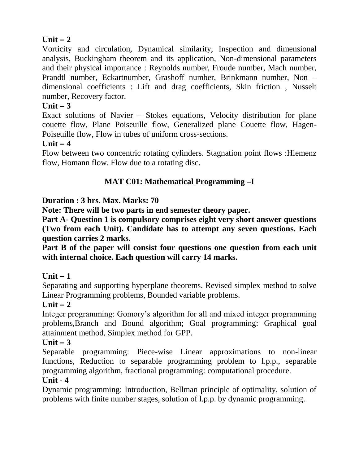## $Unit - 2$

Vorticity and circulation, Dynamical similarity, Inspection and dimensional analysis, Buckingham theorem and its application, Non-dimensional parameters and their physical importance : Reynolds number, Froude number, Mach number, Prandtl number, Eckartnumber, Grashoff number, Brinkmann number, Non – dimensional coefficients : Lift and drag coefficients, Skin friction , Nusselt number, Recovery factor.

#### $Unit - 3$

Exact solutions of Navier – Stokes equations, Velocity distribution for plane couette flow, Plane Poiseuille flow, Generalized plane Couette flow, Hagen-Poiseuille flow, Flow in tubes of uniform cross-sections.

#### $Unit - 4$

Flow between two concentric rotating cylinders. Stagnation point flows :Hiemenz flow, Homann flow. Flow due to a rotating disc.

## **MAT C01: Mathematical Programming –I**

#### **Duration : 3 hrs. Max. Marks: 70**

**Note: There will be two parts in end semester theory paper.**

**Part A**- **Question 1 is compulsory comprises eight very short answer questions (Two from each Unit). Candidate has to attempt any seven questions. Each question carries 2 marks.**

**Part B of the paper will consist four questions one question from each unit with internal choice. Each question will carry 14 marks.**

#### $Unit - 1$

Separating and supporting hyperplane theorems. Revised simplex method to solve Linear Programming problems, Bounded variable problems.

#### $Unit - 2$

Integer programming: Gomory's algorithm for all and mixed integer programming problems,Branch and Bound algorithm; Goal programming: Graphical goal attainment method, Simplex method for GPP.

#### $Unit - 3$

Separable programming: Piece-wise Linear approximations to non-linear functions, Reduction to separable programming problem to l.p.p., separable programming algorithm, fractional programming: computational procedure.

#### **Unit - 4**

Dynamic programming: Introduction, Bellman principle of optimality, solution of problems with finite number stages, solution of l.p.p. by dynamic programming.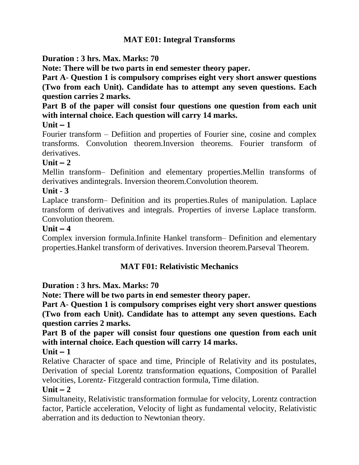## **MAT E01: Integral Transforms**

## **Duration : 3 hrs. Max. Marks: 70**

**Note: There will be two parts in end semester theory paper.**

**Part A**- **Question 1 is compulsory comprises eight very short answer questions (Two from each Unit). Candidate has to attempt any seven questions. Each question carries 2 marks.**

**Part B of the paper will consist four questions one question from each unit with internal choice. Each question will carry 14 marks.**

#### $Unit - 1$

Fourier transform – Defiition and properties of Fourier sine, cosine and complex transforms. Convolution theorem.Inversion theorems. Fourier transform of derivatives.

## $\textbf{Unit} - 2$

Mellin transform– Definition and elementary properties.Mellin transforms of derivatives andintegrals. Inversion theorem.Convolution theorem.

#### **Unit - 3**

Laplace transform– Definition and its properties.Rules of manipulation. Laplace transform of derivatives and integrals. Properties of inverse Laplace transform. Convolution theorem.

#### $Unit - 4$

Complex inversion formula.Infinite Hankel transform– Definition and elementary properties.Hankel transform of derivatives. Inversion theorem.Parseval Theorem.

#### **MAT F01: Relativistic Mechanics**

#### **Duration : 3 hrs. Max. Marks: 70**

**Note: There will be two parts in end semester theory paper.**

**Part A**- **Question 1 is compulsory comprises eight very short answer questions (Two from each Unit). Candidate has to attempt any seven questions. Each question carries 2 marks.**

**Part B of the paper will consist four questions one question from each unit with internal choice. Each question will carry 14 marks.**

#### $Unit - 1$

Relative Character of space and time, Principle of Relativity and its postulates, Derivation of special Lorentz transformation equations, Composition of Parallel velocities, Lorentz- Fitzgerald contraction formula, Time dilation.

#### $Unit - 2$

Simultaneity, Relativistic transformation formulae for velocity, Lorentz contraction factor, Particle acceleration, Velocity of light as fundamental velocity, Relativistic aberration and its deduction to Newtonian theory.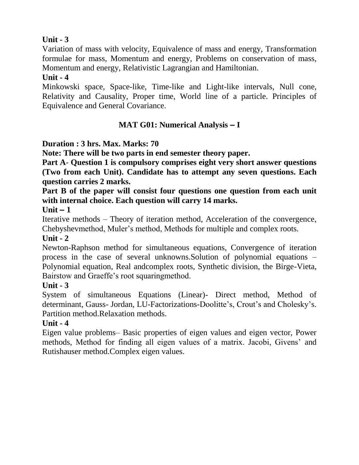## **Unit - 3**

Variation of mass with velocity, Equivalence of mass and energy, Transformation formulae for mass, Momentum and energy, Problems on conservation of mass, Momentum and energy, Relativistic Lagrangian and Hamiltonian.

#### **Unit - 4**

Minkowski space, Space-like, Time-like and Light-like intervals, Null cone, Relativity and Causality, Proper time, World line of a particle. Principles of Equivalence and General Covariance.

## **MAT G01: Numerical Analysis – I**

## **Duration : 3 hrs. Max. Marks: 70**

**Note: There will be two parts in end semester theory paper.**

**Part A**- **Question 1 is compulsory comprises eight very short answer questions (Two from each Unit). Candidate has to attempt any seven questions. Each question carries 2 marks.**

**Part B of the paper will consist four questions one question from each unit with internal choice. Each question will carry 14 marks.**

#### $Unit - 1$

Iterative methods – Theory of iteration method, Acceleration of the convergence, Chebyshevmethod, Muler's method, Methods for multiple and complex roots.

#### **Unit - 2**

Newton-Raphson method for simultaneous equations, Convergence of iteration process in the case of several unknowns.Solution of polynomial equations – Polynomial equation, Real andcomplex roots, Synthetic division, the Birge-Vieta, Bairstow and Graeffe's root squaringmethod.

#### **Unit - 3**

System of simultaneous Equations (Linear)- Direct method, Method of determinant, Gauss- Jordan, LU-Factorizations-Doolitte's, Crout's and Cholesky's. Partition method.Relaxation methods.

## **Unit - 4**

Eigen value problems– Basic properties of eigen values and eigen vector, Power methods, Method for finding all eigen values of a matrix. Jacobi, Givens' and Rutishauser method.Complex eigen values.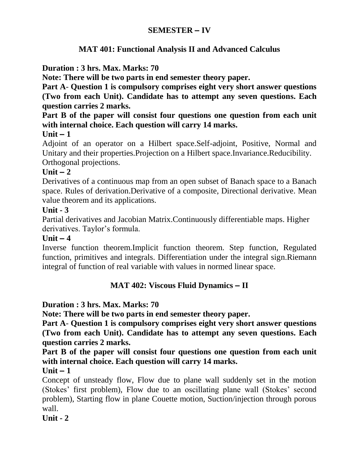## **SEMESTER – IV**

#### **MAT 401: Functional Analysis II and Advanced Calculus**

#### **Duration : 3 hrs. Max. Marks: 70**

**Note: There will be two parts in end semester theory paper.**

**Part A**- **Question 1 is compulsory comprises eight very short answer questions (Two from each Unit). Candidate has to attempt any seven questions. Each question carries 2 marks.**

**Part B of the paper will consist four questions one question from each unit with internal choice. Each question will carry 14 marks.**

#### $Unit - 1$

Adjoint of an operator on a Hilbert space.Self-adjoint, Positive, Normal and Unitary and their properties.Projection on a Hilbert space.Invariance.Reducibility. Orthogonal projections.

#### $Unit - 2$

Derivatives of a continuous map from an open subset of Banach space to a Banach space. Rules of derivation.Derivative of a composite, Directional derivative. Mean value theorem and its applications.

#### **Unit - 3**

Partial derivatives and Jacobian Matrix.Continuously differentiable maps. Higher derivatives. Taylor's formula.

#### $\textbf{Unit} - 4$

Inverse function theorem.Implicit function theorem. Step function, Regulated function, primitives and integrals. Differentiation under the integral sign.Riemann integral of function of real variable with values in normed linear space.

#### **MAT 402: Viscous Fluid Dynamics – II**

#### **Duration : 3 hrs. Max. Marks: 70**

**Note: There will be two parts in end semester theory paper.**

**Part A**- **Question 1 is compulsory comprises eight very short answer questions (Two from each Unit). Candidate has to attempt any seven questions. Each question carries 2 marks.**

**Part B of the paper will consist four questions one question from each unit with internal choice. Each question will carry 14 marks.**

 $Unit - 1$ 

Concept of unsteady flow, Flow due to plane wall suddenly set in the motion (Stokes' first problem), Flow due to an oscillating plane wall (Stokes' second problem), Starting flow in plane Couette motion, Suction/injection through porous wall.

#### **Unit - 2**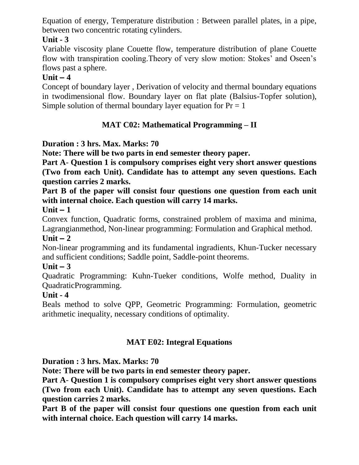Equation of energy, Temperature distribution : Between parallel plates, in a pipe, between two concentric rotating cylinders.

## **Unit - 3**

Variable viscosity plane Couette flow, temperature distribution of plane Couette flow with transpiration cooling.Theory of very slow motion: Stokes' and Oseen's flows past a sphere.

## $Unit - 4$

Concept of boundary layer , Derivation of velocity and thermal boundary equations in twodimensional flow. Boundary layer on flat plate (Balsius-Topfer solution), Simple solution of thermal boundary layer equation for  $Pr = 1$ 

## **MAT C02: Mathematical Programming – II**

## **Duration : 3 hrs. Max. Marks: 70**

**Note: There will be two parts in end semester theory paper.**

**Part A**- **Question 1 is compulsory comprises eight very short answer questions (Two from each Unit). Candidate has to attempt any seven questions. Each question carries 2 marks.**

**Part B of the paper will consist four questions one question from each unit with internal choice. Each question will carry 14 marks.**

**Unit – 1**

Convex function, Quadratic forms, constrained problem of maxima and minima, Lagrangianmethod, Non-linear programming: Formulation and Graphical method.

#### $Unit - 2$

Non-linear programming and its fundamental ingradients, Khun-Tucker necessary and sufficient conditions; Saddle point, Saddle-point theorems.

#### $Unit - 3$

Quadratic Programming: Kuhn-Tueker conditions, Wolfe method, Duality in QuadraticProgramming.

#### **Unit - 4**

Beals method to solve QPP, Geometric Programming: Formulation, geometric arithmetic inequality, necessary conditions of optimality.

## **MAT E02: Integral Equations**

#### **Duration : 3 hrs. Max. Marks: 70**

**Note: There will be two parts in end semester theory paper.**

**Part A**- **Question 1 is compulsory comprises eight very short answer questions (Two from each Unit). Candidate has to attempt any seven questions. Each question carries 2 marks.**

**Part B of the paper will consist four questions one question from each unit with internal choice. Each question will carry 14 marks.**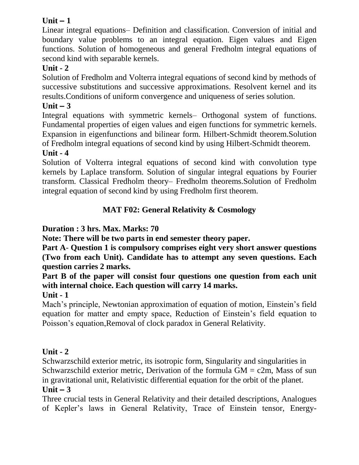## $Unit - 1$

Linear integral equations– Definition and classification. Conversion of initial and boundary value problems to an integral equation. Eigen values and Eigen functions. Solution of homogeneous and general Fredholm integral equations of second kind with separable kernels.

## **Unit - 2**

Solution of Fredholm and Volterra integral equations of second kind by methods of successive substitutions and successive approximations. Resolvent kernel and its results.Conditions of uniform convergence and uniqueness of series solution.

## $Unit - 3$

Integral equations with symmetric kernels– Orthogonal system of functions. Fundamental properties of eigen values and eigen functions for symmetric kernels. Expansion in eigenfunctions and bilinear form. Hilbert-Schmidt theorem.Solution of Fredholm integral equations of second kind by using Hilbert-Schmidt theorem.

## **Unit - 4**

Solution of Volterra integral equations of second kind with convolution type kernels by Laplace transform. Solution of singular integral equations by Fourier transform. Classical Fredholm theory– Fredholm theorems.Solution of Fredholm integral equation of second kind by using Fredholm first theorem.

## **MAT F02: General Relativity & Cosmology**

## **Duration : 3 hrs. Max. Marks: 70**

**Note: There will be two parts in end semester theory paper.**

**Part A**- **Question 1 is compulsory comprises eight very short answer questions (Two from each Unit). Candidate has to attempt any seven questions. Each question carries 2 marks.**

**Part B of the paper will consist four questions one question from each unit with internal choice. Each question will carry 14 marks.**

## **Unit - 1**

Mach's principle, Newtonian approximation of equation of motion, Einstein's field equation for matter and empty space, Reduction of Einstein's field equation to Poisson's equation,Removal of clock paradox in General Relativity.

## **Unit - 2**

Schwarzschild exterior metric, its isotropic form, Singularity and singularities in Schwarzschild exterior metric, Derivation of the formula  $GM = c2m$ , Mass of sun in gravitational unit, Relativistic differential equation for the orbit of the planet.  $Unit - 3$ 

Three crucial tests in General Relativity and their detailed descriptions, Analogues of Kepler's laws in General Relativity, Trace of Einstein tensor, Energy